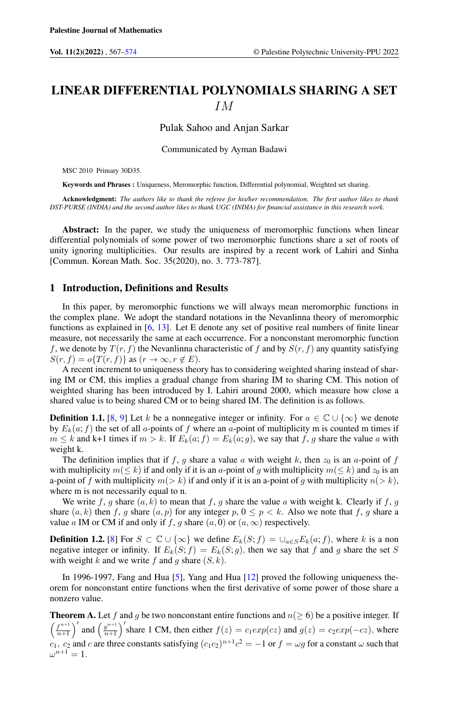# LINEAR DIFFERENTIAL POLYNOMIALS SHARING A SET IM

Pulak Sahoo and Anjan Sarkar

Communicated by Ayman Badawi

MSC 2010 Primary 30D35.

Keywords and Phrases : Uniqueness, Meromorphic function, Differential polynomial, Weighted set sharing.

Acknowledgment: *The authors like to thank the referee for his/her recommendation. The first author likes to thank DST-PURSE (INDIA) and the second author likes to thank UGC (INDIA) for financial assistance in this research work.*

Abstract: In the paper, we study the uniqueness of meromorphic functions when linear differential polynomials of some power of two meromorphic functions share a set of roots of unity ignoring multiplicities. Our results are inspired by a recent work of Lahiri and Sinha [Commun. Korean Math. Soc. 35(2020), no. 3. 773-787].

## 1 Introduction, Definitions and Results

In this paper, by meromorphic functions we will always mean meromorphic functions in the complex plane. We adopt the standard notations in the Nevanlinna theory of meromorphic functions as explained in [\[6,](#page-7-1) [13\]](#page-7-2). Let E denote any set of positive real numbers of finite linear measure, not necessarily the same at each occurrence. For a nonconstant meromorphic function f, we denote by  $T(r, f)$  the Nevanlinna characteristic of f and by  $S(r, f)$  any quantity satisfying  $S(r, f) = o\{T(r, f)\}\text{ as } (r \to \infty, r \notin E).$ 

A recent increment to uniqueness theory has to considering weighted sharing instead of sharing IM or CM, this implies a gradual change from sharing IM to sharing CM. This notion of weighted sharing has been introduced by I. Lahiri around 2000, which measure how close a shared value is to being shared CM or to being shared IM. The definition is as follows.

**Definition 1.1.** [\[8,](#page-7-3) [9\]](#page-7-4) Let k be a nonnegative integer or infinity. For  $a \in \mathbb{C} \cup \{\infty\}$  we denote by  $E_k(a; f)$  the set of all a-points of f where an a-point of multiplicity m is counted m times if  $m \leq k$  and k+1 times if  $m > k$ . If  $E_k(a; f) = E_k(a; g)$ , we say that f, g share the value a with weight k.

The definition implies that if f, g share a value a with weight k, then  $z_0$  is an a-point of f with multiplicity  $m(\leq k)$  if and only if it is an a-point of g with multiplicity  $m(\leq k)$  and  $z_0$  is an a-point of f with multiplicity  $m(> k)$  if and only if it is an a-point of g with multiplicity  $n(> k)$ , where m is not necessarily equal to n.

We write f, g share  $(a, k)$  to mean that f, g share the value a with weight k. Clearly if f, g share  $(a, k)$  then f, g share  $(a, p)$  for any integer p,  $0 \le p \le k$ . Also we note that f, g share a value a IM or CM if and only if f, g share  $(a, 0)$  or  $(a, \infty)$  respectively.

**Definition 1.2.** [\[8\]](#page-7-3) For  $S \subset \mathbb{C} \cup \{\infty\}$  we define  $E_k(S; f) = \bigcup_{a \in S} E_k(a; f)$ , where k is a non negative integer or infinity. If  $E_k(S; f) = E_k(S; g)$ , then we say that f and g share the set S with weight k and we write f and g share  $(S, k)$ .

In 1996-1997, Fang and Hua [\[5\]](#page-7-5), Yang and Hua [\[12\]](#page-7-6) proved the following uniqueness theorem for nonconstant entire functions when the first derivative of some power of those share a nonzero value.

**Theorem A.** Let f and g be two nonconstant entire functions and  $n(\geq 6)$  be a positive integer. If  $\int f^{n+1}$  $\left(\frac{f^{n+1}}{n+1}\right)'$  and  $\left(\frac{g^{n+1}}{n+1}\right)$  $\frac{g^{n+1}}{g^{n+1}}$  share 1 CM, then either  $f(z) = c_1 exp(cz)$  and  $g(z) = c_2 exp(-cz)$ , where  $c_1$ ,  $c_2$  and c are three constants satisfying  $(c_1c_2)^{n+1}c^2 = -1$  or  $f = \omega g$  for a constant  $\omega$  such that  $\omega^{n+1}=1.$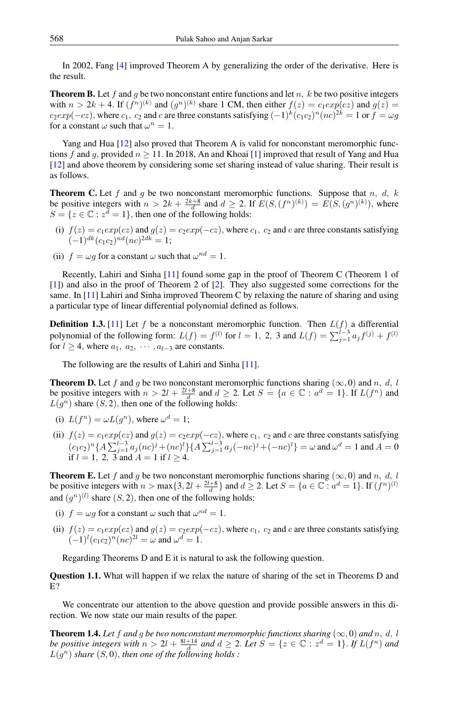In 2002, Fang [\[4\]](#page-7-7) improved Theorem A by generalizing the order of the derivative. Here is the result.

**Theorem B.** Let f and g be two nonconstant entire functions and let n, k be two positive integers with  $n > 2k + 4$ . If  $(f^n)^{(k)}$  and  $(g^n)^{(k)}$  share 1 CM, then either  $f(z) = c_1 exp(cz)$  and  $g(z) =$  $c_2exp(-cz)$ , where  $c_1, c_2$  and c are three constants satisfying  $(-1)^k (c_1c_2)^n (nc)^{2k} = 1$  or  $f = \omega g$ for a constant  $\omega$  such that  $\omega^n = 1$ .

Yang and Hua [\[12\]](#page-7-6) also proved that Theorem A is valid for nonconstant meromorphic functions f and g, provided  $n \ge 11$ . In 2018, An and Khoai [\[1\]](#page-7-8) improved that result of Yang and Hua [\[12\]](#page-7-6) and above theorem by considering some set sharing instead of value sharing. Their result is as follows.

**Theorem C.** Let f and g be two nonconstant meromorphic functions. Suppose that n, d, k be positive integers with  $n > 2k + \frac{2k+8}{d}$  and  $d \ge 2$ . If  $E(S, (f^n)^{(k)}) = E(S, (g^n)^{(k)})$ , where  $S = \{z \in \mathbb{C} : z^d = 1\}$ , then one of the following holds:

- (i)  $f(z) = c_1 exp(cz)$  and  $g(z) = c_2 exp(-cz)$ , where  $c_1, c_2$  and c are three constants satisfying  $(-1)^{dk}(c_1c_2)^{nd}(nc)^{2dk}=1;$
- (ii)  $f = \omega g$  for a constant  $\omega$  such that  $\omega^{nd} = 1$ .

Recently, Lahiri and Sinha [\[11\]](#page-7-9) found some gap in the proof of Theorem C (Theorem 1 of [\[1\]](#page-7-8)) and also in the proof of Theorem 2 of [\[2\]](#page-7-10). They also suggested some corrections for the same. In [\[11\]](#page-7-9) Lahiri and Sinha improved Theorem C by relaxing the nature of sharing and using a particular type of linear differential polynomial defined as follows.

**Definition 1.3.** [\[11\]](#page-7-9) Let f be a nonconstant meromorphic function. Then  $L(f)$  a differential polynomial of the following form:  $L(f) = f^{(l)}$  for  $l = 1, 2, 3$  and  $L(f) = \sum_{j=1}^{l-3} a_j f^{(j)} + f^{(l)}$ for  $l > 4$ , where  $a_1, a_2, \cdots, a_{l-3}$  are constants.

The following are the results of Lahiri and Sinha [\[11\]](#page-7-9).

**Theorem D.** Let f and g be two nonconstant meromorphic functions sharing ( $\infty$ , 0) and n, d, l be positive integers with  $n > 2l + \frac{2l+8}{d}$  and  $d \ge 2$ . Let  $S = \{a \in \mathbb{C} : a^d = 1\}$ . If  $L(f^n)$  and  $L(g^n)$  share  $(S, 2)$ , then one of the following holds:

- (i)  $L(f^n) = \omega L(g^n)$ , where  $\omega^d = 1$ ;
- (ii)  $f(z) = c_1 exp(cz)$  and  $g(z) = c_2 exp(-cz)$ , where  $c_1, c_2$  and c are three constants satisfying  $(c_1c_2)^n\{A\sum_{j=1}^{l-3}a_j(nc)^j+(nc)^l\}\{A\sum_{j=1}^{l-3}a_j(-nc)^j+(-nc)^l\}=\omega$  and  $\omega^d=1$  and  $A=0$ if  $l = 1, 2, 3$  and  $A = 1$  if  $l \ge 4$ .

**Theorem E.** Let f and g be two nonconstant meromorphic functions sharing ( $\infty$ , 0) and n, d, l be positive integers with  $n > \max\{3, 2l + \frac{2l+8}{d}\}\$  and  $d \ge 2$ . Let  $S = \{a \in \mathbb{C} : a^d = 1\}$ . If  $(f^n)^{(l)}$ and  $(g^n)^{(l)}$  share  $(S, 2)$ , then one of the following holds:

- (i)  $f = \omega g$  for a constant  $\omega$  such that  $\omega^{nd} = 1$ .
- (ii)  $f(z) = c_1 exp(cz)$  and  $g(z) = c_2 exp(-cz)$ , where  $c_1$ ,  $c_2$  and c are three constants satisfying  $(-1)^{l} (c_1 c_2)^n (nc)^{2l} = \omega$  and  $\omega^d = 1$ .

Regarding Theorems D and E it is natural to ask the following question.

Question 1.1. What will happen if we relax the nature of sharing of the set in Theorems D and E?

We concentrate our attention to the above question and provide possible answers in this direction. We now state our main results of the paper.

<span id="page-1-0"></span>**Theorem 1.4.** Let f and g be two nonconstant meromorphic functions sharing  $(\infty, 0)$  and n, d, l *be positive integers with*  $n > 2l + \frac{8l+14}{d}$  *and*  $d \ge 2$ . Let  $S = \{z \in \mathbb{C} : z^d = 1\}$ . If  $L(f^n)$  and  $L(g^n)$  share  $(S, 0)$ , then one of the following holds :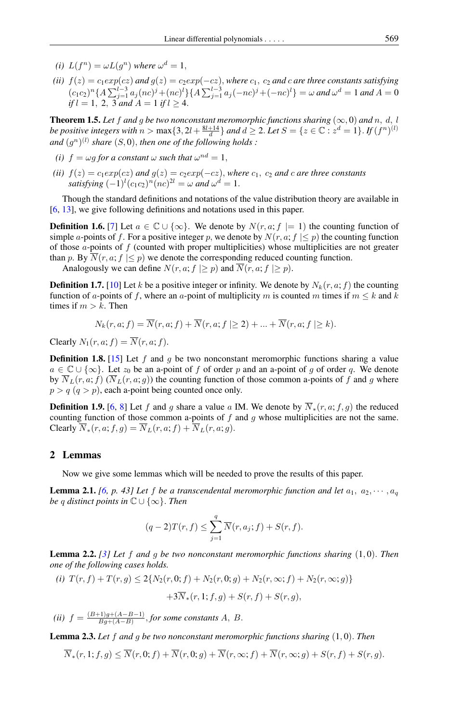- (*i*)  $L(f^n) = \omega L(g^n)$  where  $\omega^d = 1$ ,
- *(ii)*  $f(z) = c_1 exp(cz)$  *and*  $g(z) = c_2 exp(-cz)$ *, where*  $c_1$ *,*  $c_2$  *and*  $c$  *are three constants satisfying*  $(c_1c_2)^n\{A\sum_{j=1}^{l-3}a_j(nc)^j+(nc)^l\}\{A\sum_{j=1}^{l-3}a_j(-nc)^j+(-nc)^l\}=\omega$  and  $\omega^d=1$  and  $A=0$ *if*  $l = 1, 2, 3$  *and*  $A = 1$  *if*  $l \ge 4$ .

<span id="page-2-3"></span>**Theorem 1.5.** Let f and g be two nonconstant meromorphic functions sharing  $(\infty, 0)$  and n, d, l *be positive integers with*  $n > \max\{3, 2l + \frac{8l+14}{d}\}$  *and*  $d \ge 2$ . Let  $S = \{z \in \mathbb{C} : z^d = 1\}$ . If  $(f^n)^{(l)}$ and  $(g^n)^{(l)}$  share  $(S, 0)$ , then one of the following holds :

- *(i)*  $f = \omega g$  for a constant  $\omega$  such that  $\omega^{nd} = 1$ ,
- *(ii)*  $f(z) = c_1 exp(cz)$  *and*  $g(z) = c_2 exp(-cz)$ *, where*  $c_1$ *,*  $c_2$  *and c are three constants* satisfying  $(-1)^l (c_1 c_2)^n (nc)^{2l} = \omega$  and  $\omega^d = 1$ .

Though the standard definitions and notations of the value distribution theory are available in [\[6,](#page-7-1) [13\]](#page-7-2), we give following definitions and notations used in this paper.

**Definition 1.6.** [\[7\]](#page-7-11) Let  $a \in \mathbb{C} \cup \{\infty\}$ . We denote by  $N(r, a; f \models 1)$  the counting function of simple a-points of f. For a positive integer p, we denote by  $N(r, a; f | \leq p)$  the counting function of those  $a$ -points of  $f$  (counted with proper multiplicities) whose multiplicities are not greater than p. By  $\overline{N}(r, a; f \leq p)$  we denote the corresponding reduced counting function.

Analogously we can define  $N(r, a; f \geq p)$  and  $\overline{N}(r, a; f \geq p)$ .

**Definition 1.7.** [\[10\]](#page-7-12) Let k be a positive integer or infinity. We denote by  $N_k(r, a; f)$  the counting function of a-points of f, where an a-point of multiplicity m is counted m times if  $m \leq k$  and k times if  $m > k$ . Then

$$
N_k(r, a; f) = \overline{N}(r, a; f) + \overline{N}(r, a; f \ge 2) + \dots + \overline{N}(r, a; f \ge k).
$$

Clearly  $N_1(r, a; f) = \overline{N}(r, a; f)$ .

**Definition 1.8.** [\[15\]](#page-7-13) Let  $f$  and  $g$  be two nonconstant meromorphic functions sharing a value  $a \in \mathbb{C} \cup \{\infty\}$ . Let  $z_0$  be an a-point of f of order p and an a-point of g of order q. We denote by  $\overline{N}_L(r, a; f)$  ( $\overline{N}_L(r, a; g)$ ) the counting function of those common a-points of f and g where  $p > q$   $(q > p)$ , each a-point being counted once only.

<span id="page-2-0"></span>**Definition 1.9.** [\[6,](#page-7-1) [8\]](#page-7-3) Let f and g share a value a IM. We denote by  $\overline{N}_*(r, a; f, g)$  the reduced counting function of those common a-points of  $f$  and  $g$  whose multiplicities are not the same. Clearly  $\overline{N}_*(r, a; f, g) = \overline{N}_L(r, a; f) + \overline{N}_L(r, a; g).$ 

## 2 Lemmas

Now we give some lemmas which will be needed to prove the results of this paper.

**Lemma 2.1.** *[\[6,](#page-7-1) p. 43] Let f be a transcendental meromorphic function and let*  $a_1, a_2, \cdots, a_q$ *be* q *distinct points in* C ∪ {∞}. *Then*

$$
(q-2)T(r,f) \leq \sum_{j=1}^{q} \overline{N}(r,a_j;f) + S(r,f).
$$

<span id="page-2-1"></span>Lemma 2.2. *[\[3\]](#page-7-14) Let* f *and* g *be two nonconstant meromorphic functions sharing* (1, 0). *Then one of the following cases holds.*

(i) 
$$
T(r, f) + T(r, g) \le 2\{N_2(r, 0; f) + N_2(r, 0; g) + N_2(r, \infty; f) + N_2(r, \infty; g)\}
$$
  
  $+3\overline{N}_*(r, 1; f, g) + S(r, f) + S(r, g),$ 

*(ii)*  $f = \frac{(B+1)g + (A-B-1)}{Bg + (A-B)}$  $\frac{H^2\{H^2\} + (A - B - 1)}{Bg + (A - B)}$ , *for some constants* A, B.

<span id="page-2-2"></span>Lemma 2.3. *Let* f *and* g *be two nonconstant meromorphic functions sharing* (1, 0). *Then*

$$
\overline{N}_*(r,1;f,g) \leq \overline{N}(r,0;f) + \overline{N}(r,0;g) + \overline{N}(r,\infty;f) + \overline{N}(r,\infty;g) + S(r,f) + S(r,g).
$$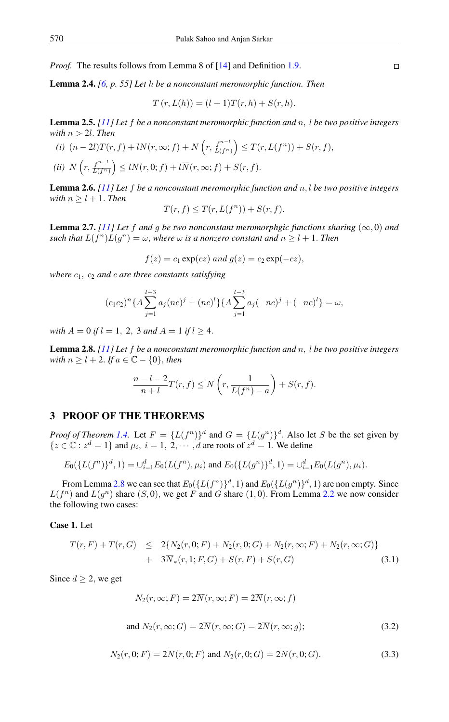*Proof.* The results follows from Lemma 8 of [\[14\]](#page-7-15) and Definition [1.9.](#page-2-0)

<span id="page-3-1"></span>Lemma 2.4. *[\[6,](#page-7-1) p. 55] Let* h *be a nonconstant meromorphic function. Then*

$$
T(r, L(h)) = (l + 1)T(r, h) + S(r, h).
$$

<span id="page-3-4"></span>Lemma 2.5. *[\[11\]](#page-7-9) Let* f *be a nonconstant meromorphic function and* n, l *be two positive integers with*  $n > 2l$ *. Then* 

(i) 
$$
(n-2l)T(r, f) + lN(r, \infty; f) + N\left(r, \frac{f^{n-l}}{L(f^n)}\right) \leq T(r, L(f^n)) + S(r, f),
$$
  
\n(ii)  $N\left(r, \frac{f^{n-l}}{L(f^n)}\right) \leq lN(r, 0; f) + l\overline{N}(r, \infty; f) + S(r, f).$ 

<span id="page-3-2"></span>Lemma 2.6. *[\[11\]](#page-7-9) Let* f *be a nonconstant meromorphic function and* n, l *be two positive integers with*  $n \geq l + 1$ *. Then* 

$$
T(r, f) \le T(r, L(f^n)) + S(r, f).
$$

<span id="page-3-5"></span>**Lemma 2.7.** *[\[11\]](#page-7-9)* Let f and g be two nonconstant meromorphgic functions sharing  $(\infty, 0)$  and *such that*  $L(f^n)L(g^n) = \omega$ , *where*  $\omega$  *is a nonzero constant and*  $n \geq l + 1$ . *Then* 

$$
f(z) = c_1 \exp(cz) \text{ and } g(z) = c_2 \exp(-cz),
$$

*where*  $c_1$ ,  $c_2$  *and*  $c$  *are three constants satisfying* 

$$
(c_1c_2)^n\{A\sum_{j=1}^{l-3}a_j(nc)^j + (nc)^l\}\{A\sum_{j=1}^{l-3}a_j(-nc)^j + (-nc)^l\} = \omega,
$$

*with*  $A = 0$  *if*  $l = 1, 2, 3$  *and*  $A = 1$  *if*  $l \ge 4$ .

<span id="page-3-0"></span>Lemma 2.8. *[\[11\]](#page-7-9) Let* f *be a nonconstant meromorphic function and* n, l *be two positive integers with*  $n \geq l + 2$ . *If*  $a \in \mathbb{C} - \{0\}$ , *then* 

$$
\frac{n-l-2}{n+l}T(r,f) \le \overline{N}\left(r,\frac{1}{L(f^n)-a}\right) + S(r,f).
$$

## 3 PROOF OF THE THEOREMS

*Proof of Theorem [1.4.](#page-1-0)* Let  $F = \{L(f^n)\}^d$  and  $G = \{L(g^n)\}^d$ . Also let S be the set given by  $\{z \in \mathbb{C} : z^d = 1\}$  and  $\mu_i$ ,  $i = 1, 2, \dots, d$  are roots of  $z^d = 1$ . We define

$$
E_0({L(f^n)}^d, 1) = \bigcup_{i=1}^d E_0(L(f^n), \mu_i)
$$
 and  $E_0({L(g^n)}^d, 1) = \bigcup_{i=1}^d E_0(L(g^n), \mu_i)$ .

From Lemma [2.8](#page-3-0) we can see that  $E_0(\lbrace L(f^n) \rbrace^d, 1)$  and  $E_0(\lbrace L(g^n) \rbrace^d, 1)$  are non empty. Since  $L(f^n)$  and  $L(g^n)$  share  $(S, 0)$ , we get F and G share  $(1, 0)$ . From Lemma [2.2](#page-2-1) we now consider the following two cases:

## Case 1. Let

<span id="page-3-3"></span>
$$
T(r, F) + T(r, G) \leq 2\{N_2(r, 0; F) + N_2(r, 0; G) + N_2(r, \infty; F) + N_2(r, \infty; G)\}
$$
  
+ 
$$
3\overline{N}_*(r, 1; F, G) + S(r, F) + S(r, G)
$$
 (3.1)

Since  $d \geq 2$ , we get

$$
N_2(r, \infty; F) = 2\overline{N}(r, \infty; F) = 2\overline{N}(r, \infty; f)
$$
  
and 
$$
N_2(r, \infty; G) = 2\overline{N}(r, \infty; G) = 2\overline{N}(r, \infty; g);
$$
 (3.2)

$$
N_2(r, 0; F) = 2\overline{N}(r, 0; F) \text{ and } N_2(r, 0; G) = 2\overline{N}(r, 0; G). \tag{3.3}
$$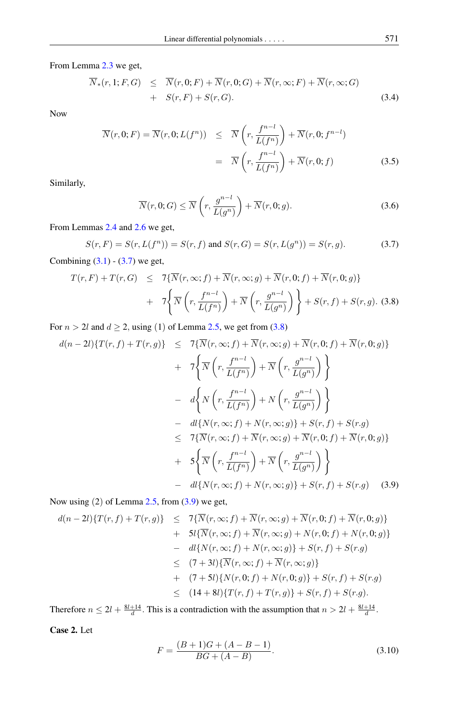From Lemma [2.3](#page-2-2) we get,

$$
\overline{N}_*(r, 1; F, G) \leq \overline{N}(r, 0; F) + \overline{N}(r, 0; G) + \overline{N}(r, \infty; F) + \overline{N}(r, \infty; G) \n+ S(r, F) + S(r, G).
$$
\n(3.4)

Now

<span id="page-4-4"></span>
$$
\overline{N}(r,0;F) = \overline{N}(r,0;L(f^n)) \leq \overline{N}\left(r,\frac{f^{n-l}}{L(f^n)}\right) + \overline{N}(r,0;f^{n-l})
$$

$$
= \overline{N}\left(r,\frac{f^{n-l}}{L(f^n)}\right) + \overline{N}(r,0;f) \tag{3.5}
$$

Similarly,

<span id="page-4-5"></span>
$$
\overline{N}(r,0;G) \leq \overline{N}\left(r, \frac{g^{n-l}}{L(g^n)}\right) + \overline{N}(r,0;g). \tag{3.6}
$$

From Lemmas [2.4](#page-3-1) and [2.6](#page-3-2) we get,

<span id="page-4-0"></span>
$$
S(r, F) = S(r, L(f^n)) = S(r, f) \text{ and } S(r, G) = S(r, L(g^n)) = S(r, g). \tag{3.7}
$$

Combining  $(3.1)$  -  $(3.7)$  we get,

<span id="page-4-1"></span>
$$
T(r, F) + T(r, G) \leq 7\{\overline{N}(r, \infty; f) + \overline{N}(r, \infty; g) + \overline{N}(r, 0; f) + \overline{N}(r, 0; g)\}
$$
  
+  $7\left\{\overline{N}\left(r, \frac{f^{n-l}}{L(f^n)}\right) + \overline{N}\left(r, \frac{g^{n-l}}{L(g^n)}\right)\right\} + S(r, f) + S(r, g). \quad (3.8)$ 

For  $n > 2l$  and  $d \ge 2$ , using (1) of Lemma [2.5,](#page-3-4) we get from [\(3.8\)](#page-4-1)

<span id="page-4-2"></span>
$$
d(n-2l)\lbrace T(r,f) + T(r,g)\rbrace \leq 7\lbrace \overline{N}(r,\infty;f) + \overline{N}(r,\infty;g) + \overline{N}(r,0;f) + \overline{N}(r,0;g)\rbrace
$$
  
+  $7\Biggl\lbrace \overline{N}\left(r,\frac{f^{n-l}}{L(f^n)}\right) + \overline{N}\left(r,\frac{g^{n-l}}{L(g^n)}\right) \Biggr\rbrace$   
-  $d\Biggl\lbrace N\left(r,\frac{f^{n-l}}{L(f^n)}\right) + N\left(r,\frac{g^{n-l}}{L(g^n)}\right) \Biggr\rbrace$   
-  $dl\{N(r,\infty;f) + N(r,\infty;g)\} + S(r,f) + S(r,g)$   
 $\leq 7\lbrace \overline{N}(r,\infty;f) + \overline{N}(r,\infty;g) + \overline{N}(r,0;f) + \overline{N}(r,0;g)\rbrace$   
+  $5\Biggl\lbrace \overline{N}\left(r,\frac{f^{n-l}}{L(f^n)}\right) + \overline{N}\left(r,\frac{g^{n-l}}{L(g^n)}\right) \Biggr\rbrace$   
-  $dl\{N(r,\infty;f) + N(r,\infty;g)\} + S(r,f) + S(r,g)$  (3.9)

Now using (2) of Lemma [2.5,](#page-3-4) from [\(3.9\)](#page-4-2) we get,

$$
d(n-2l)\{T(r,f) + T(r,g)\} \leq 7\{\overline{N}(r,\infty;f) + \overline{N}(r,\infty;g) + \overline{N}(r,0;f) + \overline{N}(r,0;g)\}+ 5l\{\overline{N}(r,\infty;f) + \overline{N}(r,\infty;g) + N(r,0;f) + N(r,0;g)\}- dl\{N(r,\infty;f) + N(r,\infty;g)\} + S(r,f) + S(r,g)\leq (7+3l)\{\overline{N}(r,\infty;f) + \overline{N}(r,\infty;g)\}+ (7+5l)\{N(r,0;f) + N(r,0;g)\} + S(r,f) + S(r,g)\leq (14+8l)\{T(r,f) + T(r,g)\} + S(r,f) + S(r,g).
$$

Therefore  $n \leq 2l + \frac{8l+14}{d}$ . This is a contradiction with the assumption that  $n > 2l + \frac{8l+14}{d}$ .

Case 2. Let

<span id="page-4-3"></span>
$$
F = \frac{(B+1)G + (A - B - 1)}{BG + (A - B)}.
$$
\n(3.10)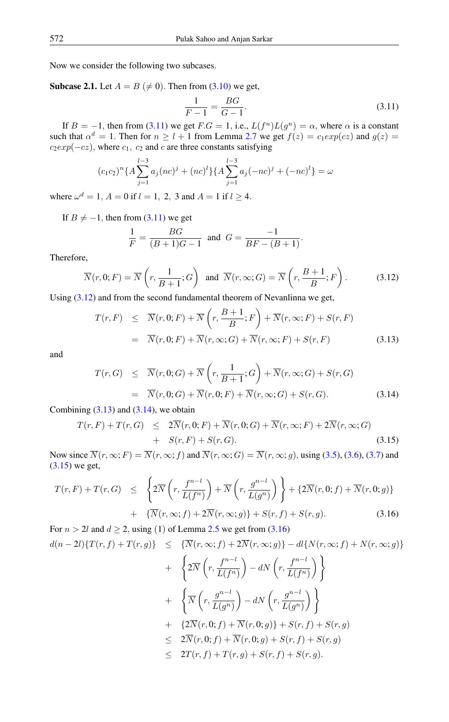Now we consider the following two subcases.

**Subcase 2.1.** Let  $A = B \neq 0$ . Then from [\(3.10\)](#page-4-3) we get,

<span id="page-5-0"></span>
$$
\frac{1}{F-1} = \frac{BG}{G-1}.
$$
\n(3.11)

.

If  $B = -1$ , then from [\(3.11\)](#page-5-0) we get  $F.G = 1$ , i.e.,  $L(f^n)L(g^n) = \alpha$ , where  $\alpha$  is a constant such that  $\alpha^d = 1$ . Then for  $n \geq l + 1$  from Lemma [2.7](#page-3-5) we get  $f(z) = c_1 exp(cz)$  and  $g(z) =$  $c_2exp(-cz)$ , where  $c_1$ ,  $c_2$  and c are three constants satisfying

$$
(c_1c_2)^n\{A\sum_{j=1}^{l-3}a_j(nc)^j + (nc)^l\}\{A\sum_{j=1}^{l-3}a_j(-nc)^j + (-nc)^l\} = \omega
$$

where  $\omega^d = 1$ ,  $A = 0$  if  $l = 1$ , 2, 3 and  $A = 1$  if  $l \ge 4$ .

If  $B \neq -1$ , then from [\(3.11\)](#page-5-0) we get

$$
\frac{1}{F} = \frac{BG}{(B+1)G-1} \text{ and } G = \frac{-1}{BF - (B+1)}
$$

Therefore,

<span id="page-5-1"></span>
$$
\overline{N}(r,0;F) = \overline{N}\left(r, \frac{1}{B+1}; G\right) \text{ and } \overline{N}(r,\infty;G) = \overline{N}\left(r, \frac{B+1}{B}; F\right). \tag{3.12}
$$

Using  $(3.12)$  and from the second fundamental theorem of Nevanlinna we get,

<span id="page-5-2"></span>
$$
T(r, F) \leq \overline{N}(r, 0; F) + \overline{N}\left(r, \frac{B+1}{B}; F\right) + \overline{N}(r, \infty; F) + S(r, F)
$$
  
=  $\overline{N}(r, 0; F) + \overline{N}(r, \infty; G) + \overline{N}(r, \infty; F) + S(r, F)$  (3.13)

and

<span id="page-5-3"></span>
$$
T(r, G) \leq \overline{N}(r, 0; G) + \overline{N}\left(r, \frac{1}{B+1}; G\right) + \overline{N}(r, \infty; G) + S(r, G)
$$
  
= 
$$
\overline{N}(r, 0; G) + \overline{N}(r, 0; F) + \overline{N}(r, \infty; G) + S(r, G).
$$
 (3.14)

Combining  $(3.13)$  and  $(3.14)$ , we obtain

<span id="page-5-4"></span>
$$
T(r, F) + T(r, G) \leq 2\overline{N}(r, 0; F) + \overline{N}(r, 0; G) + \overline{N}(r, \infty; F) + 2\overline{N}(r, \infty; G) + S(r, F) + S(r, G).
$$
\n(3.15)

Now since  $\overline{N}(r, \infty; F) = \overline{N}(r, \infty; f)$  and  $\overline{N}(r, \infty; G) = \overline{N}(r, \infty; g)$ , using [\(3.5\)](#page-4-4), [\(3.6\)](#page-4-5), [\(3.7\)](#page-4-0) and [\(3.15\)](#page-5-4) we get,

<span id="page-5-5"></span>
$$
T(r,F) + T(r,G) \leq \left\{ 2\overline{N} \left( r, \frac{f^{n-l}}{L(f^n)} \right) + \overline{N} \left( r, \frac{g^{n-l}}{L(g^n)} \right) \right\} + \left\{ 2\overline{N}(r,0;f) + \overline{N}(r,0;g) \right\} + \left\{ \overline{N}(r,\infty;f) + 2\overline{N}(r,\infty;g) \right\} + S(r,f) + S(r,g).
$$
(3.16)

For  $n > 2l$  and  $d > 2$ , using (1) of Lemma [2.5](#page-3-4) we get from [\(3.16\)](#page-5-5)  $d(n-2l)\{T(r, f) + T(r, g)\} \leq {\overline{N}(r, \infty; f) + 2\overline{N}(r, \infty; g)} - d\{N(r, \infty; f) + N(r, \infty; g)\}$ +  $\sqrt{ }$  $2\overline{N}\left(r,\frac{f^{n-l}}{I(f_n)}\right)$  $L(f^n)$  $\Big) - dN \left( r, \frac{f^{n-l}}{f(r)} \right)$  $L(f^n)$  $\setminus$ +  $\sqrt{ }$  $\overline{N}\left(r,\frac{g^{n-l}}{I(n)}\right)$  $L(g^n)$  $\Big) - dN \left( r, \frac{g^{n-l}}{L(n)} \right)$  $L(g^n)$  $\setminus$ +  ${2\overline{N}(r,0; f) + \overline{N}(r,0; g)} + S(r, f) + S(r, g)}$  $\leq 2\overline{N}(r,0; f) + \overline{N}(r,0; g) + S(r, f) + S(r, g)$  $\leq 2T(r, f) + T(r, g) + S(r, f) + S(r, g).$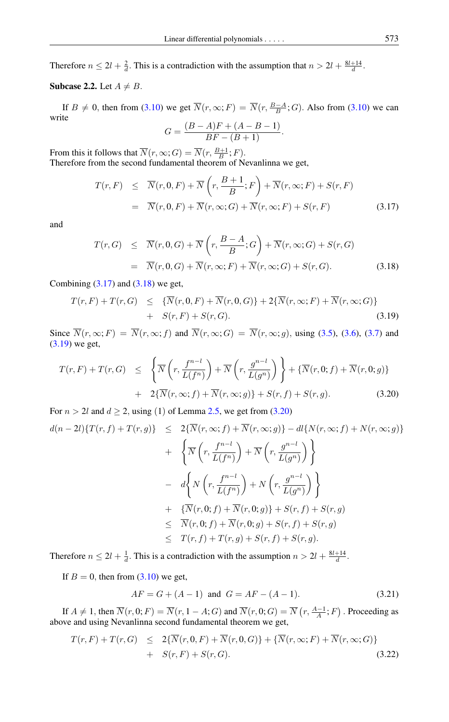Therefore  $n \leq 2l + \frac{2}{d}$ . This is a contradiction with the assumption that  $n > 2l + \frac{8l+14}{d}$ .

## Subcase 2.2. Let  $A \neq B$ .

If  $B \neq 0$ , then from [\(3.10\)](#page-4-3) we get  $\overline{N}(r, \infty; F) = \overline{N}(r, \frac{B-A}{B}; G)$ . Also from (3.10) we can write  $(B-A)F + (A - B - 1)$ 

$$
G = \frac{(B - A)F + (A - B - 1)}{BF - (B + 1)}.
$$

From this it follows that  $\overline{N}(r, \infty; G) = \overline{N}(r, \frac{B+1}{B}; F)$ . Therefore from the second fundamental theorem of Nevanlinna we get,

<span id="page-6-0"></span>
$$
T(r, F) \leq \overline{N}(r, 0, F) + \overline{N}\left(r, \frac{B+1}{B}; F\right) + \overline{N}(r, \infty; F) + S(r, F)
$$
  
=  $\overline{N}(r, 0, F) + \overline{N}(r, \infty; G) + \overline{N}(r, \infty; F) + S(r, F)$  (3.17)

and

<span id="page-6-1"></span>
$$
T(r, G) \leq \overline{N}(r, 0, G) + \overline{N}\left(r, \frac{B-A}{B}; G\right) + \overline{N}(r, \infty; G) + S(r, G)
$$
  
= 
$$
\overline{N}(r, 0, G) + \overline{N}(r, \infty; F) + \overline{N}(r, \infty; G) + S(r, G).
$$
 (3.18)

Combining  $(3.17)$  and  $(3.18)$  we get,

<span id="page-6-2"></span>
$$
T(r, F) + T(r, G) \leq {\overline{N}(r, 0, F) + \overline{N}(r, 0, G)} + 2{\overline{N}(r, \infty; F) + \overline{N}(r, \infty; G)}
$$
  
+ 
$$
S(r, F) + S(r, G).
$$
 (3.19)

Since  $\overline{N}(r, \infty; F) = \overline{N}(r, \infty; f)$  and  $\overline{N}(r, \infty; G) = \overline{N}(r, \infty; g)$ , using [\(3.5\)](#page-4-4), [\(3.6\)](#page-4-5), [\(3.7\)](#page-4-0) and [\(3.19\)](#page-6-2) we get,

<span id="page-6-3"></span>
$$
T(r, F) + T(r, G) \leq \left\{ \overline{N}\left(r, \frac{f^{n-l}}{L(f^n)}\right) + \overline{N}\left(r, \frac{g^{n-l}}{L(g^n)}\right) \right\} + \left\{ \overline{N}(r, 0; f) + \overline{N}(r, 0; g) \right\} + 2\{\overline{N}(r, \infty; f) + \overline{N}(r, \infty; g) \} + S(r, f) + S(r, g).
$$
 (3.20)

For  $n > 2l$  and  $d \ge 2$ , using (1) of Lemma [2.5,](#page-3-4) we get from [\(3.20\)](#page-6-3)

$$
d(n-2l)\{T(r,f)+T(r,g)\}\leq 2\{\overline{N}(r,\infty;f)+\overline{N}(r,\infty;g)\}-dl\{N(r,\infty;f)+N(r,\infty;g)\}+\sqrt{\frac{1}{N}\left(r,\frac{f^{n-l}}{L(f^n)}\right)+\overline{N}\left(r,\frac{g^{n-l}}{L(g^n)}\right)}-\sqrt{d}\left\{N\left(r,\frac{f^{n-l}}{L(f^n)}\right)+N\left(r,\frac{g^{n-l}}{L(g^n)}\right)\right\}+\sqrt{\overline{N}(r,0;f)+\overline{N}(r,0;g)\}+S(r,f)+S(r,g)\leq \overline{N}(r,0;f)+\overline{N}(r,0;g)+S(r,f)+S(r,g)\leq T(r,f)+T(r,g)+S(r,f)+S(r,g).
$$

Therefore  $n \leq 2l + \frac{1}{d}$ . This is a contradiction with the assumption  $n > 2l + \frac{8l+14}{d}$ .

If  $B = 0$ , then from  $(3.10)$  we get,

<span id="page-6-5"></span>
$$
AF = G + (A - 1) \text{ and } G = AF - (A - 1). \tag{3.21}
$$

If  $A \neq 1$ , then  $\overline{N}(r, 0; F) = \overline{N}(r, 1 - A; G)$  and  $\overline{N}(r, 0; G) = \overline{N}(r, \frac{A-1}{A}; F)$ . Proceeding as above and using Nevanlinna second fundamental theorem we get,

<span id="page-6-4"></span>
$$
T(r,F) + T(r,G) \leq 2\{\overline{N}(r,0,F) + \overline{N}(r,0,G)\} + \{\overline{N}(r,\infty;F) + \overline{N}(r,\infty;G)\}
$$
  
+ 
$$
S(r,F) + S(r,G).
$$
 (3.22)